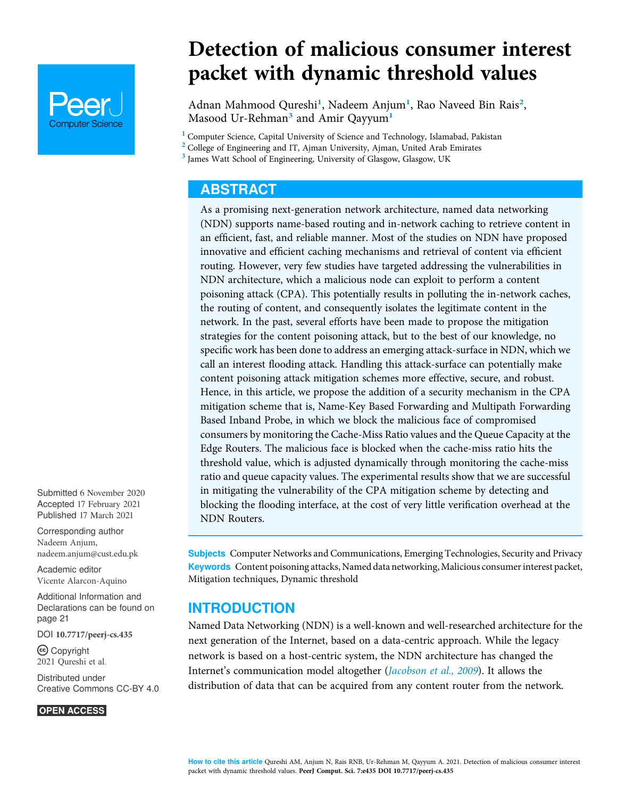

Detection of malicious consumer interest packet with dynamic threshold values

Adnan Mahmood Qureshi<sup>1</sup>, Nadeem Anjum<sup>1</sup>, Rao Naveed Bin Rais<sup>2</sup>, Masood Ur-Rehman<sup>3</sup> and Amir Qayyum<sup>1</sup>

<sup>1</sup> Computer Science, Capital University of Science and Technology, Islamabad, Pakistan

 $2$  College of Engineering and IT, Ajman University, Ajman, United Arab Emirates

<sup>3</sup> James Watt School of Engineering, University of Glasgow, Glasgow, UK

# **ABSTRACT**

As a promising next-generation network architecture, named data networking (NDN) supports name-based routing and in-network caching to retrieve content in an efficient, fast, and reliable manner. Most of the studies on NDN have proposed innovative and efficient caching mechanisms and retrieval of content via efficient routing. However, very few studies have targeted addressing the vulnerabilities in NDN architecture, which a malicious node can exploit to perform a content poisoning attack (CPA). This potentially results in polluting the in-network caches, the routing of content, and consequently isolates the legitimate content in the network. In the past, several efforts have been made to propose the mitigation strategies for the content poisoning attack, but to the best of our knowledge, no specific work has been done to address an emerging attack-surface in NDN, which we call an interest flooding attack. Handling this attack-surface can potentially make content poisoning attack mitigation schemes more effective, secure, and robust. Hence, in this article, we propose the addition of a security mechanism in the CPA mitigation scheme that is, Name-Key Based Forwarding and Multipath Forwarding Based Inband Probe, in which we block the malicious face of compromised consumers by monitoring the Cache-Miss Ratio values and the Queue Capacity at the Edge Routers. The malicious face is blocked when the cache-miss ratio hits the threshold value, which is adjusted dynamically through monitoring the cache-miss ratio and queue capacity values. The experimental results show that we are successful in mitigating the vulnerability of the CPA mitigation scheme by detecting and blocking the flooding interface, at the cost of very little verification overhead at the NDN Routers.

Subjects Computer Networks and Communications, Emerging Technologies, Security and Privacy Keywords Content poisoning attacks, Named data networking, Malicious consumer interest packet, Mitigation techniques, Dynamic threshold

## INTRODUCTION

Named Data Networking (NDN) is a well-known and well-researched architecture for the next generation of the Internet, based on a data-centric approach. While the legacy network is based on a host-centric system, the NDN architecture has changed the Internet's communication model altogether (Jacobson et al., 2009). It allows the distribution of data that can be acquired from any content router from the network.

Submitted 6 November 2020 Accepted 17 February 2021 Published 17 March 2021

Corresponding author Nadeem Anjum, nadeem.anjum@cust.edu.pk

Academic editor Vicente Alarcon-Aquino

Additional Information and Declarations can be found on page 21

DOI 10.7717/peerj-cs.435

(cc) Copyright 2021 Qureshi et al.

Distributed under Creative Commons CC-BY 4.0

#### **OPEN ACCESS**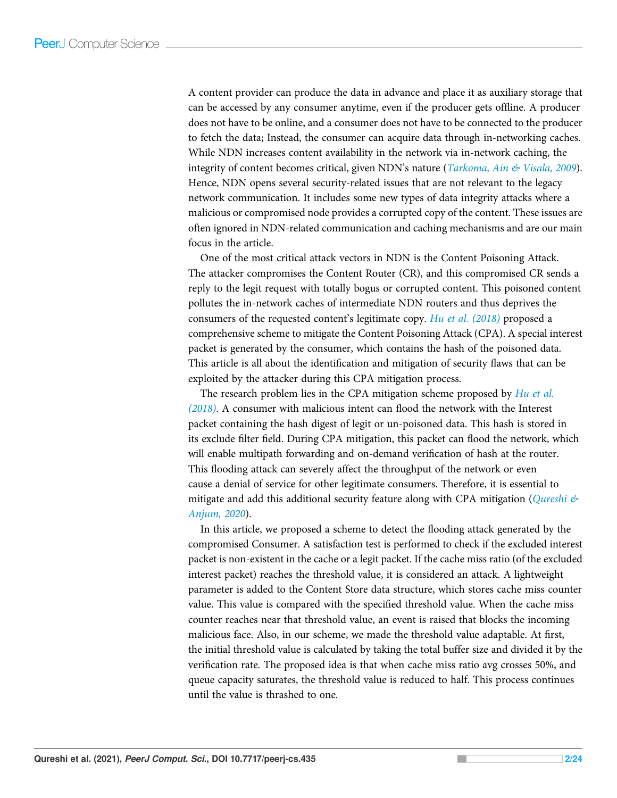A content provider can produce the data in advance and place it as auxiliary storage that can be accessed by any consumer anytime, even if the producer gets offline. A producer does not have to be online, and a consumer does not have to be connected to the producer to fetch the data; Instead, the consumer can acquire data through in-networking caches. While NDN increases content availability in the network via in-network caching, the integrity of content becomes critical, given NDN's nature (*Tarkoma, Ain*  $\&$  *Visala, 2009*). Hence, NDN opens several security-related issues that are not relevant to the legacy network communication. It includes some new types of data integrity attacks where a malicious or compromised node provides a corrupted copy of the content. These issues are often ignored in NDN-related communication and caching mechanisms and are our main focus in the article.

One of the most critical attack vectors in NDN is the Content Poisoning Attack. The attacker compromises the Content Router (CR), and this compromised CR sends a reply to the legit request with totally bogus or corrupted content. This poisoned content pollutes the in-network caches of intermediate NDN routers and thus deprives the consumers of the requested content's legitimate copy. Hu et al. (2018) proposed a comprehensive scheme to mitigate the Content Poisoning Attack (CPA). A special interest packet is generated by the consumer, which contains the hash of the poisoned data. This article is all about the identification and mitigation of security flaws that can be exploited by the attacker during this CPA mitigation process.

The research problem lies in the CPA mitigation scheme proposed by Hu et al. (2018). A consumer with malicious intent can flood the network with the Interest packet containing the hash digest of legit or un-poisoned data. This hash is stored in its exclude filter field. During CPA mitigation, this packet can flood the network, which will enable multipath forwarding and on-demand verification of hash at the router. This flooding attack can severely affect the throughput of the network or even cause a denial of service for other legitimate consumers. Therefore, it is essential to mitigate and add this additional security feature along with CPA mitigation (*Qureshi*  $\&$ Anjum, 2020).

In this article, we proposed a scheme to detect the flooding attack generated by the compromised Consumer. A satisfaction test is performed to check if the excluded interest packet is non-existent in the cache or a legit packet. If the cache miss ratio (of the excluded interest packet) reaches the threshold value, it is considered an attack. A lightweight parameter is added to the Content Store data structure, which stores cache miss counter value. This value is compared with the specified threshold value. When the cache miss counter reaches near that threshold value, an event is raised that blocks the incoming malicious face. Also, in our scheme, we made the threshold value adaptable. At first, the initial threshold value is calculated by taking the total buffer size and divided it by the verification rate. The proposed idea is that when cache miss ratio avg crosses 50%, and queue capacity saturates, the threshold value is reduced to half. This process continues until the value is thrashed to one.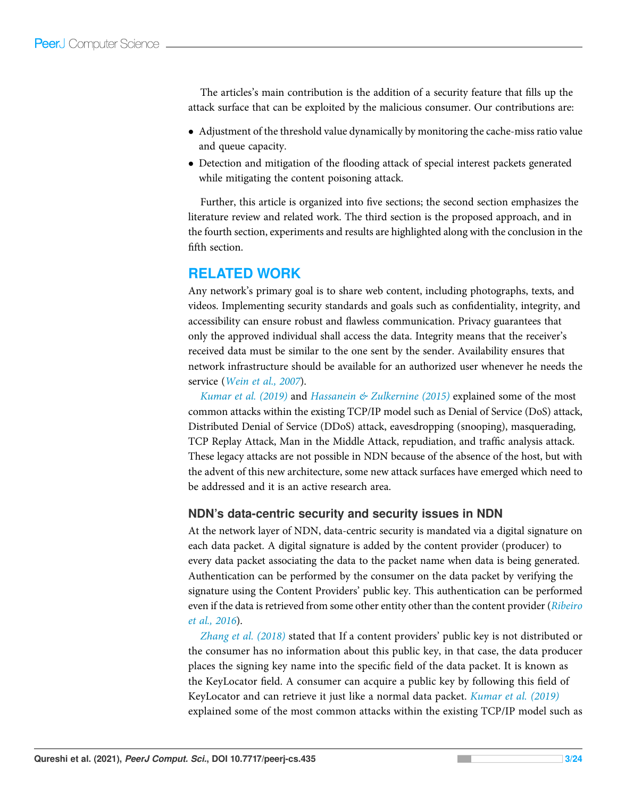The articles's main contribution is the addition of a security feature that fills up the attack surface that can be exploited by the malicious consumer. Our contributions are:

- Adjustment of the threshold value dynamically by monitoring the cache-miss ratio value and queue capacity.
- Detection and mitigation of the flooding attack of special interest packets generated while mitigating the content poisoning attack.

Further, this article is organized into five sections; the second section emphasizes the literature review and related work. The third section is the proposed approach, and in the fourth section, experiments and results are highlighted along with the conclusion in the fifth section.

# RELATED WORK

Any network's primary goal is to share web content, including photographs, texts, and videos. Implementing security standards and goals such as confidentiality, integrity, and accessibility can ensure robust and flawless communication. Privacy guarantees that only the approved individual shall access the data. Integrity means that the receiver's received data must be similar to the one sent by the sender. Availability ensures that network infrastructure should be available for an authorized user whenever he needs the service (Wein et al., 2007).

Kumar et al. (2019) and Hassanein  $\&$  Zulkernine (2015) explained some of the most common attacks within the existing TCP/IP model such as Denial of Service (DoS) attack, Distributed Denial of Service (DDoS) attack, eavesdropping (snooping), masquerading, TCP Replay Attack, Man in the Middle Attack, repudiation, and traffic analysis attack. These legacy attacks are not possible in NDN because of the absence of the host, but with the advent of this new architecture, some new attack surfaces have emerged which need to be addressed and it is an active research area.

## NDN's data-centric security and security issues in NDN

At the network layer of NDN, data-centric security is mandated via a digital signature on each data packet. A digital signature is added by the content provider (producer) to every data packet associating the data to the packet name when data is being generated. Authentication can be performed by the consumer on the data packet by verifying the signature using the Content Providers' public key. This authentication can be performed even if the data is retrieved from some other entity other than the content provider (Ribeiro et al., 2016).

Zhang et al. (2018) stated that If a content providers' public key is not distributed or the consumer has no information about this public key, in that case, the data producer places the signing key name into the specific field of the data packet. It is known as the KeyLocator field. A consumer can acquire a public key by following this field of KeyLocator and can retrieve it just like a normal data packet. *Kumar et al.* (2019) explained some of the most common attacks within the existing TCP/IP model such as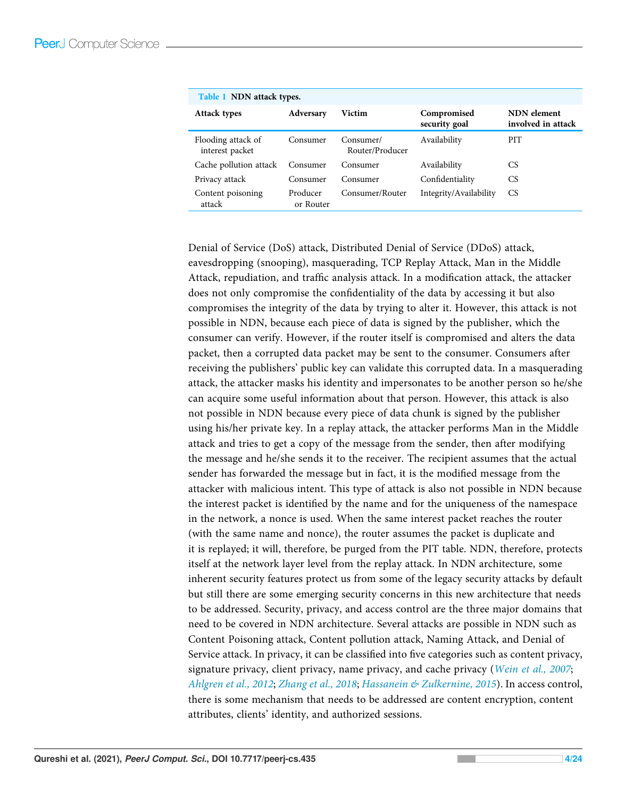| Table 1 NDN attack types.             |                       |                              |                              |                                   |  |
|---------------------------------------|-----------------------|------------------------------|------------------------------|-----------------------------------|--|
| <b>Attack types</b>                   | Adversary             | <b>Victim</b>                | Compromised<br>security goal | NDN element<br>involved in attack |  |
| Flooding attack of<br>interest packet | Consumer              | Consumer/<br>Router/Producer | Availability                 | <b>PIT</b>                        |  |
| Cache pollution attack                | Consumer              | Consumer                     | Availability                 | CS                                |  |
| Privacy attack                        | Consumer              | Consumer                     | Confidentiality              | CS                                |  |
| Content poisoning<br>attack           | Producer<br>or Router | Consumer/Router              | Integrity/Availability       | CS.                               |  |

Denial of Service (DoS) attack, Distributed Denial of Service (DDoS) attack, eavesdropping (snooping), masquerading, TCP Replay Attack, Man in the Middle Attack, repudiation, and traffic analysis attack. In a modification attack, the attacker does not only compromise the confidentiality of the data by accessing it but also compromises the integrity of the data by trying to alter it. However, this attack is not possible in NDN, because each piece of data is signed by the publisher, which the consumer can verify. However, if the router itself is compromised and alters the data packet, then a corrupted data packet may be sent to the consumer. Consumers after receiving the publishers' public key can validate this corrupted data. In a masquerading attack, the attacker masks his identity and impersonates to be another person so he/she can acquire some useful information about that person. However, this attack is also not possible in NDN because every piece of data chunk is signed by the publisher using his/her private key. In a replay attack, the attacker performs Man in the Middle attack and tries to get a copy of the message from the sender, then after modifying the message and he/she sends it to the receiver. The recipient assumes that the actual sender has forwarded the message but in fact, it is the modified message from the attacker with malicious intent. This type of attack is also not possible in NDN because the interest packet is identified by the name and for the uniqueness of the namespace in the network, a nonce is used. When the same interest packet reaches the router (with the same name and nonce), the router assumes the packet is duplicate and it is replayed; it will, therefore, be purged from the PIT table. NDN, therefore, protects itself at the network layer level from the replay attack. In NDN architecture, some inherent security features protect us from some of the legacy security attacks by default but still there are some emerging security concerns in this new architecture that needs to be addressed. Security, privacy, and access control are the three major domains that need to be covered in NDN architecture. Several attacks are possible in NDN such as Content Poisoning attack, Content pollution attack, Naming Attack, and Denial of Service attack. In privacy, it can be classified into five categories such as content privacy, signature privacy, client privacy, name privacy, and cache privacy (Wein et al., 2007; Ahlgren et al., 2012; Zhang et al., 2018; Hassanein & Zulkernine, 2015). In access control, there is some mechanism that needs to be addressed are content encryption, content attributes, clients' identity, and authorized sessions.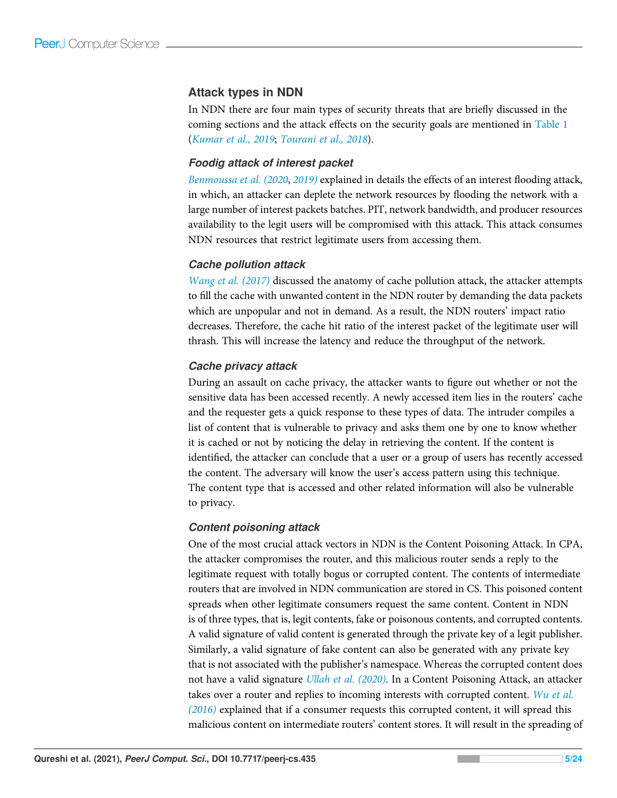## Attack types in NDN

In NDN there are four main types of security threats that are briefly discussed in the coming sections and the attack effects on the security goals are mentioned in Table 1 (Kumar et al., 2019; Tourani et al., 2018).

#### *Foodig attack of interest packet*

Benmoussa et al. (2020, 2019) explained in details the effects of an interest flooding attack, in which, an attacker can deplete the network resources by flooding the network with a large number of interest packets batches. PIT, network bandwidth, and producer resources availability to the legit users will be compromised with this attack. This attack consumes NDN resources that restrict legitimate users from accessing them.

### *Cache pollution attack*

Wang et al. (2017) discussed the anatomy of cache pollution attack, the attacker attempts to fill the cache with unwanted content in the NDN router by demanding the data packets which are unpopular and not in demand. As a result, the NDN routers' impact ratio decreases. Therefore, the cache hit ratio of the interest packet of the legitimate user will thrash. This will increase the latency and reduce the throughput of the network.

### *Cache privacy attack*

During an assault on cache privacy, the attacker wants to figure out whether or not the sensitive data has been accessed recently. A newly accessed item lies in the routers' cache and the requester gets a quick response to these types of data. The intruder compiles a list of content that is vulnerable to privacy and asks them one by one to know whether it is cached or not by noticing the delay in retrieving the content. If the content is identified, the attacker can conclude that a user or a group of users has recently accessed the content. The adversary will know the user's access pattern using this technique. The content type that is accessed and other related information will also be vulnerable to privacy.

#### *Content poisoning attack*

One of the most crucial attack vectors in NDN is the Content Poisoning Attack. In CPA, the attacker compromises the router, and this malicious router sends a reply to the legitimate request with totally bogus or corrupted content. The contents of intermediate routers that are involved in NDN communication are stored in CS. This poisoned content spreads when other legitimate consumers request the same content. Content in NDN is of three types, that is, legit contents, fake or poisonous contents, and corrupted contents. A valid signature of valid content is generated through the private key of a legit publisher. Similarly, a valid signature of fake content can also be generated with any private key that is not associated with the publisher's namespace. Whereas the corrupted content does not have a valid signature *Ullah et al.* (2020). In a Content Poisoning Attack, an attacker takes over a router and replies to incoming interests with corrupted content. Wu et al. (2016) explained that if a consumer requests this corrupted content, it will spread this malicious content on intermediate routers' content stores. It will result in the spreading of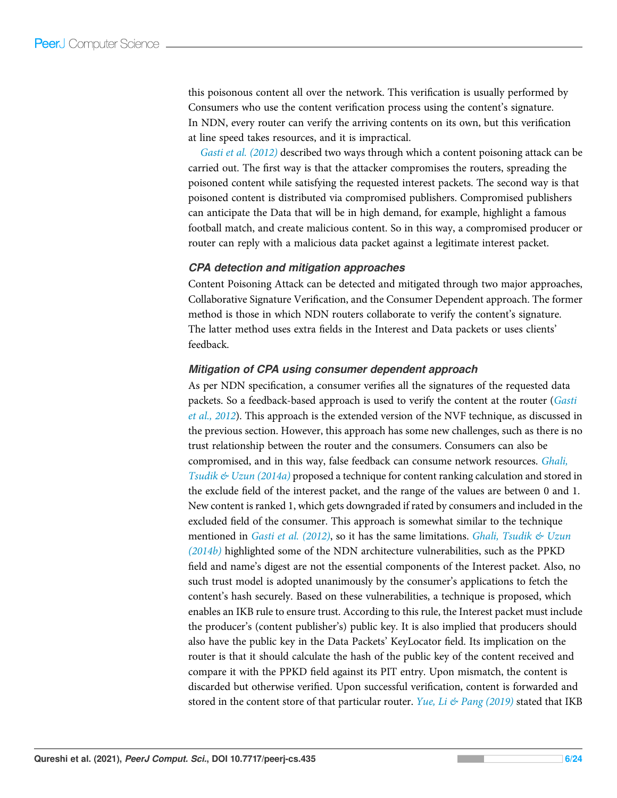this poisonous content all over the network. This verification is usually performed by Consumers who use the content verification process using the content's signature. In NDN, every router can verify the arriving contents on its own, but this verification at line speed takes resources, and it is impractical.

Gasti et al. (2012) described two ways through which a content poisoning attack can be carried out. The first way is that the attacker compromises the routers, spreading the poisoned content while satisfying the requested interest packets. The second way is that poisoned content is distributed via compromised publishers. Compromised publishers can anticipate the Data that will be in high demand, for example, highlight a famous football match, and create malicious content. So in this way, a compromised producer or router can reply with a malicious data packet against a legitimate interest packet.

### *CPA detection and mitigation approaches*

Content Poisoning Attack can be detected and mitigated through two major approaches, Collaborative Signature Verification, and the Consumer Dependent approach. The former method is those in which NDN routers collaborate to verify the content's signature. The latter method uses extra fields in the Interest and Data packets or uses clients' feedback.

## *Mitigation of CPA using consumer dependent approach*

As per NDN specification, a consumer verifies all the signatures of the requested data packets. So a feedback-based approach is used to verify the content at the router (Gasti et al., 2012). This approach is the extended version of the NVF technique, as discussed in the previous section. However, this approach has some new challenges, such as there is no trust relationship between the router and the consumers. Consumers can also be compromised, and in this way, false feedback can consume network resources. Ghali, Tsudik & Uzun (2014a) proposed a technique for content ranking calculation and stored in the exclude field of the interest packet, and the range of the values are between 0 and 1. New content is ranked 1, which gets downgraded if rated by consumers and included in the excluded field of the consumer. This approach is somewhat similar to the technique mentioned in *Gasti et al.* (2012), so it has the same limitations. *Ghali*, *Tsudik* & Uzun (2014b) highlighted some of the NDN architecture vulnerabilities, such as the PPKD field and name's digest are not the essential components of the Interest packet. Also, no such trust model is adopted unanimously by the consumer's applications to fetch the content's hash securely. Based on these vulnerabilities, a technique is proposed, which enables an IKB rule to ensure trust. According to this rule, the Interest packet must include the producer's (content publisher's) public key. It is also implied that producers should also have the public key in the Data Packets' KeyLocator field. Its implication on the router is that it should calculate the hash of the public key of the content received and compare it with the PPKD field against its PIT entry. Upon mismatch, the content is discarded but otherwise verified. Upon successful verification, content is forwarded and stored in the content store of that particular router. Yue, Li  $\&$  Pang (2019) stated that IKB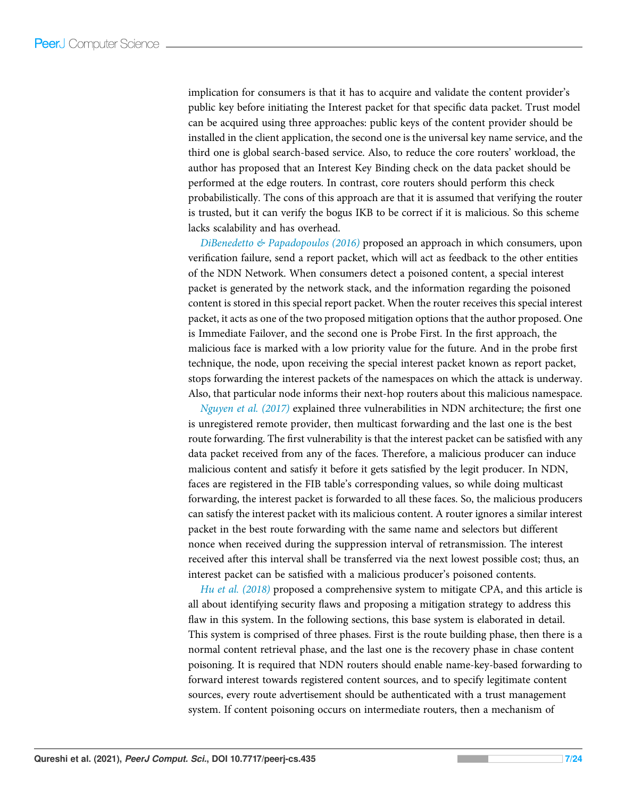implication for consumers is that it has to acquire and validate the content provider's public key before initiating the Interest packet for that specific data packet. Trust model can be acquired using three approaches: public keys of the content provider should be installed in the client application, the second one is the universal key name service, and the third one is global search-based service. Also, to reduce the core routers' workload, the author has proposed that an Interest Key Binding check on the data packet should be performed at the edge routers. In contrast, core routers should perform this check probabilistically. The cons of this approach are that it is assumed that verifying the router is trusted, but it can verify the bogus IKB to be correct if it is malicious. So this scheme lacks scalability and has overhead.

DiBenedetto  $\mathfrak{G}$  Papadopoulos (2016) proposed an approach in which consumers, upon verification failure, send a report packet, which will act as feedback to the other entities of the NDN Network. When consumers detect a poisoned content, a special interest packet is generated by the network stack, and the information regarding the poisoned content is stored in this special report packet. When the router receives this special interest packet, it acts as one of the two proposed mitigation options that the author proposed. One is Immediate Failover, and the second one is Probe First. In the first approach, the malicious face is marked with a low priority value for the future. And in the probe first technique, the node, upon receiving the special interest packet known as report packet, stops forwarding the interest packets of the namespaces on which the attack is underway. Also, that particular node informs their next-hop routers about this malicious namespace.

Nguyen et al. (2017) explained three vulnerabilities in NDN architecture; the first one is unregistered remote provider, then multicast forwarding and the last one is the best route forwarding. The first vulnerability is that the interest packet can be satisfied with any data packet received from any of the faces. Therefore, a malicious producer can induce malicious content and satisfy it before it gets satisfied by the legit producer. In NDN, faces are registered in the FIB table's corresponding values, so while doing multicast forwarding, the interest packet is forwarded to all these faces. So, the malicious producers can satisfy the interest packet with its malicious content. A router ignores a similar interest packet in the best route forwarding with the same name and selectors but different nonce when received during the suppression interval of retransmission. The interest received after this interval shall be transferred via the next lowest possible cost; thus, an interest packet can be satisfied with a malicious producer's poisoned contents.

Hu et al. (2018) proposed a comprehensive system to mitigate CPA, and this article is all about identifying security flaws and proposing a mitigation strategy to address this flaw in this system. In the following sections, this base system is elaborated in detail. This system is comprised of three phases. First is the route building phase, then there is a normal content retrieval phase, and the last one is the recovery phase in chase content poisoning. It is required that NDN routers should enable name-key-based forwarding to forward interest towards registered content sources, and to specify legitimate content sources, every route advertisement should be authenticated with a trust management system. If content poisoning occurs on intermediate routers, then a mechanism of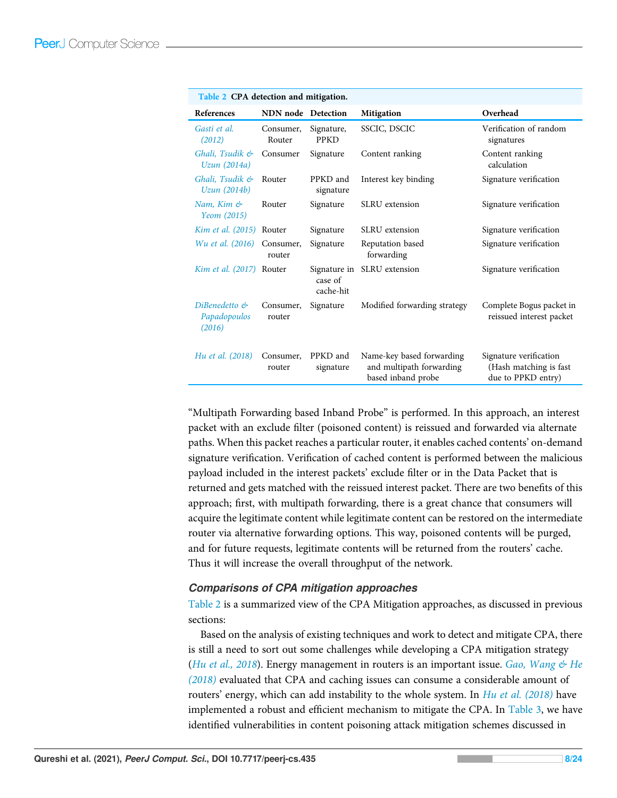| Table 2 CPA detection and mitigation.   |                           |                           |                                                                             |                                                                        |  |
|-----------------------------------------|---------------------------|---------------------------|-----------------------------------------------------------------------------|------------------------------------------------------------------------|--|
| References                              | <b>NDN</b> node Detection |                           | <b>Mitigation</b>                                                           | Overhead                                                               |  |
| Gasti et al.<br>(2012)                  | Consumer,<br>Router       | Signature,<br><b>PPKD</b> | SSCIC, DSCIC                                                                | Verification of random<br>signatures                                   |  |
| Ghali, Tsudik &<br>Uzun (2014a)         | Consumer                  | Signature                 | Content ranking                                                             | Content ranking<br>calculation                                         |  |
| Ghali, Tsudik &<br>Uzun (2014b)         | Router                    | PPKD and<br>signature     | Interest key binding                                                        | Signature verification                                                 |  |
| Nam, Kim &<br>Yeom (2015)               | Router                    | Signature                 | <b>SLRU</b> extension                                                       | Signature verification                                                 |  |
| Kim et al. (2015) Router                |                           | Signature                 | <b>SLRU</b> extension                                                       | Signature verification                                                 |  |
| Wu et al. (2016) Consumer,              | router                    | Signature                 | Reputation based<br>forwarding                                              | Signature verification                                                 |  |
| Kim et al. (2017) Router                |                           | case of<br>cache-hit      | Signature in SLRU extension                                                 | Signature verification                                                 |  |
| DiBenedetto &<br>Papadopoulos<br>(2016) | Consumer,<br>router       | Signature                 | Modified forwarding strategy                                                | Complete Bogus packet in<br>reissued interest packet                   |  |
| <i>Hu et al.</i> (2018)                 | Consumer,<br>router       | PPKD and<br>signature     | Name-key based forwarding<br>and multipath forwarding<br>based inband probe | Signature verification<br>(Hash matching is fast<br>due to PPKD entry) |  |

"Multipath Forwarding based Inband Probe" is performed. In this approach, an interest packet with an exclude filter (poisoned content) is reissued and forwarded via alternate paths. When this packet reaches a particular router, it enables cached contents' on-demand signature verification. Verification of cached content is performed between the malicious payload included in the interest packets' exclude filter or in the Data Packet that is returned and gets matched with the reissued interest packet. There are two benefits of this approach; first, with multipath forwarding, there is a great chance that consumers will acquire the legitimate content while legitimate content can be restored on the intermediate router via alternative forwarding options. This way, poisoned contents will be purged, and for future requests, legitimate contents will be returned from the routers' cache. Thus it will increase the overall throughput of the network.

## *Comparisons of CPA mitigation approaches*

Table 2 is a summarized view of the CPA Mitigation approaches, as discussed in previous sections:

Based on the analysis of existing techniques and work to detect and mitigate CPA, there is still a need to sort out some challenges while developing a CPA mitigation strategy (Hu et al., 2018). Energy management in routers is an important issue. Gao, Wang  $\mathcal{C}$  He (2018) evaluated that CPA and caching issues can consume a considerable amount of routers' energy, which can add instability to the whole system. In  $Hu$  et al. (2018) have implemented a robust and efficient mechanism to mitigate the CPA. In Table 3, we have identified vulnerabilities in content poisoning attack mitigation schemes discussed in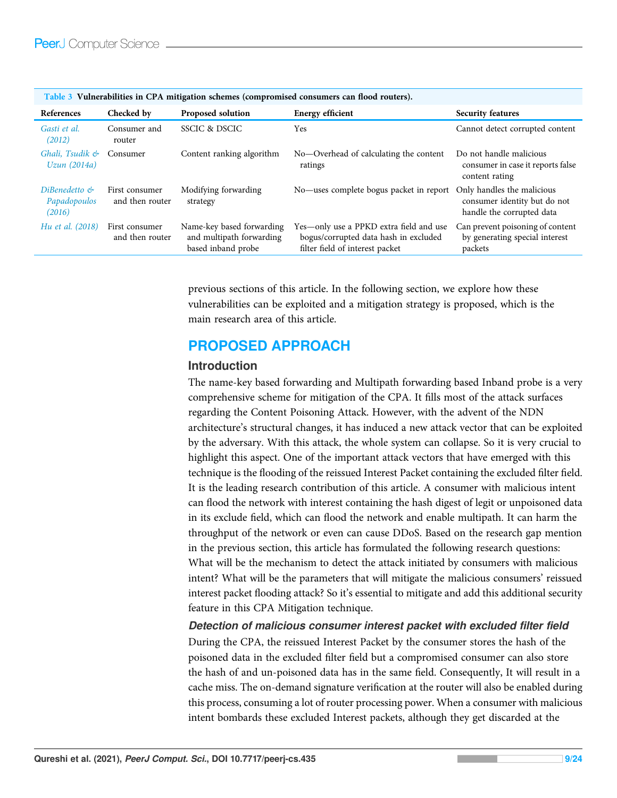| <b>References</b>                       | Checked by                        | Proposed solution                                                           | <b>Energy efficient</b>                                                                                             | <b>Security features</b>                                                       |
|-----------------------------------------|-----------------------------------|-----------------------------------------------------------------------------|---------------------------------------------------------------------------------------------------------------------|--------------------------------------------------------------------------------|
| Gasti et al.<br>(2012)                  | Consumer and<br>router            | SSCIC & DSCIC                                                               | Yes                                                                                                                 | Cannot detect corrupted content                                                |
| Ghali, Tsudik &<br>Uzun (2014a)         | Consumer                          | Content ranking algorithm                                                   | No-Overhead of calculating the content<br>ratings                                                                   | Do not handle malicious<br>consumer in case it reports false<br>content rating |
| DiBenedetto &<br>Papadopoulos<br>(2016) | First consumer<br>and then router | Modifying forwarding<br>strategy                                            | No—uses complete bogus packet in report Only handles the malicious                                                  | consumer identity but do not<br>handle the corrupted data                      |
| <i>Hu et al.</i> (2018)                 | First consumer<br>and then router | Name-key based forwarding<br>and multipath forwarding<br>based inband probe | Yes—only use a PPKD extra field and use<br>bogus/corrupted data hash in excluded<br>filter field of interest packet | Can prevent poisoning of content<br>by generating special interest<br>packets  |

Table 3 Vulnerabilities in CPA mitigation schemes (compromised consumers can flood routers).

previous sections of this article. In the following section, we explore how these vulnerabilities can be exploited and a mitigation strategy is proposed, which is the main research area of this article.

# PROPOSED APPROACH

## Introduction

The name-key based forwarding and Multipath forwarding based Inband probe is a very comprehensive scheme for mitigation of the CPA. It fills most of the attack surfaces regarding the Content Poisoning Attack. However, with the advent of the NDN architecture's structural changes, it has induced a new attack vector that can be exploited by the adversary. With this attack, the whole system can collapse. So it is very crucial to highlight this aspect. One of the important attack vectors that have emerged with this technique is the flooding of the reissued Interest Packet containing the excluded filter field. It is the leading research contribution of this article. A consumer with malicious intent can flood the network with interest containing the hash digest of legit or unpoisoned data in its exclude field, which can flood the network and enable multipath. It can harm the throughput of the network or even can cause DDoS. Based on the research gap mention in the previous section, this article has formulated the following research questions: What will be the mechanism to detect the attack initiated by consumers with malicious intent? What will be the parameters that will mitigate the malicious consumers' reissued interest packet flooding attack? So it's essential to mitigate and add this additional security feature in this CPA Mitigation technique.

*Detection of malicious consumer interest packet with excluded filter field*

During the CPA, the reissued Interest Packet by the consumer stores the hash of the poisoned data in the excluded filter field but a compromised consumer can also store the hash of and un-poisoned data has in the same field. Consequently, It will result in a cache miss. The on-demand signature verification at the router will also be enabled during this process, consuming a lot of router processing power. When a consumer with malicious intent bombards these excluded Interest packets, although they get discarded at the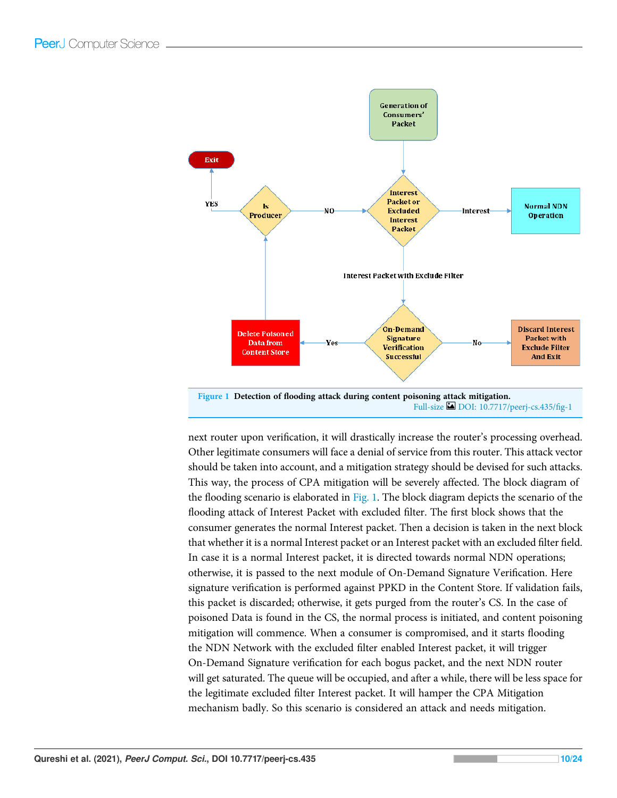

next router upon verification, it will drastically increase the router's processing overhead. Other legitimate consumers will face a denial of service from this router. This attack vector should be taken into account, and a mitigation strategy should be devised for such attacks. This way, the process of CPA mitigation will be severely affected. The block diagram of the flooding scenario is elaborated in Fig. 1. The block diagram depicts the scenario of the flooding attack of Interest Packet with excluded filter. The first block shows that the consumer generates the normal Interest packet. Then a decision is taken in the next block that whether it is a normal Interest packet or an Interest packet with an excluded filter field. In case it is a normal Interest packet, it is directed towards normal NDN operations; otherwise, it is passed to the next module of On-Demand Signature Verification. Here signature verification is performed against PPKD in the Content Store. If validation fails, this packet is discarded; otherwise, it gets purged from the router's CS. In the case of poisoned Data is found in the CS, the normal process is initiated, and content poisoning mitigation will commence. When a consumer is compromised, and it starts flooding the NDN Network with the excluded filter enabled Interest packet, it will trigger On-Demand Signature verification for each bogus packet, and the next NDN router will get saturated. The queue will be occupied, and after a while, there will be less space for the legitimate excluded filter Interest packet. It will hamper the CPA Mitigation mechanism badly. So this scenario is considered an attack and needs mitigation.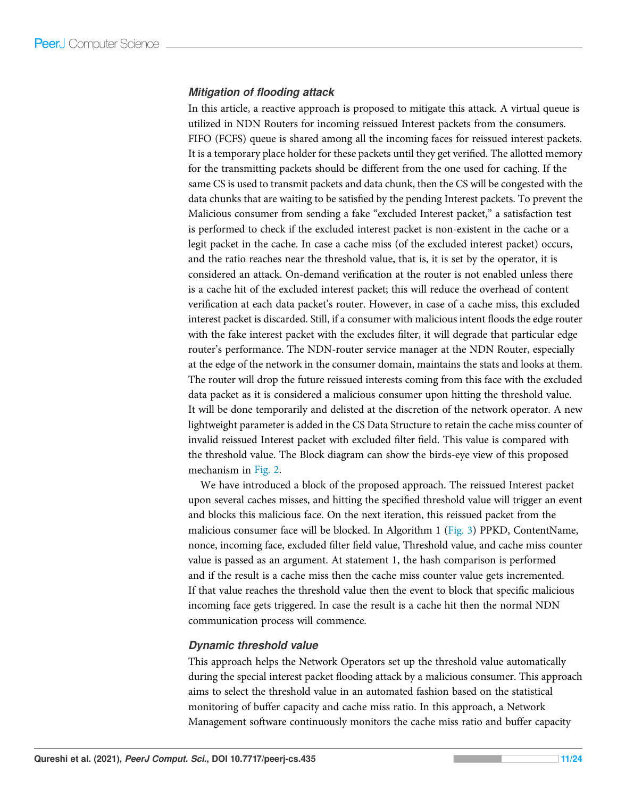## *Mitigation of flooding attack*

In this article, a reactive approach is proposed to mitigate this attack. A virtual queue is utilized in NDN Routers for incoming reissued Interest packets from the consumers. FIFO (FCFS) queue is shared among all the incoming faces for reissued interest packets. It is a temporary place holder for these packets until they get verified. The allotted memory for the transmitting packets should be different from the one used for caching. If the same CS is used to transmit packets and data chunk, then the CS will be congested with the data chunks that are waiting to be satisfied by the pending Interest packets. To prevent the Malicious consumer from sending a fake "excluded Interest packet," a satisfaction test is performed to check if the excluded interest packet is non-existent in the cache or a legit packet in the cache. In case a cache miss (of the excluded interest packet) occurs, and the ratio reaches near the threshold value, that is, it is set by the operator, it is considered an attack. On-demand verification at the router is not enabled unless there is a cache hit of the excluded interest packet; this will reduce the overhead of content verification at each data packet's router. However, in case of a cache miss, this excluded interest packet is discarded. Still, if a consumer with malicious intent floods the edge router with the fake interest packet with the excludes filter, it will degrade that particular edge router's performance. The NDN-router service manager at the NDN Router, especially at the edge of the network in the consumer domain, maintains the stats and looks at them. The router will drop the future reissued interests coming from this face with the excluded data packet as it is considered a malicious consumer upon hitting the threshold value. It will be done temporarily and delisted at the discretion of the network operator. A new lightweight parameter is added in the CS Data Structure to retain the cache miss counter of invalid reissued Interest packet with excluded filter field. This value is compared with the threshold value. The Block diagram can show the birds-eye view of this proposed mechanism in Fig. 2.

We have introduced a block of the proposed approach. The reissued Interest packet upon several caches misses, and hitting the specified threshold value will trigger an event and blocks this malicious face. On the next iteration, this reissued packet from the malicious consumer face will be blocked. In Algorithm 1 (Fig. 3) PPKD, ContentName, nonce, incoming face, excluded filter field value, Threshold value, and cache miss counter value is passed as an argument. At statement 1, the hash comparison is performed and if the result is a cache miss then the cache miss counter value gets incremented. If that value reaches the threshold value then the event to block that specific malicious incoming face gets triggered. In case the result is a cache hit then the normal NDN communication process will commence.

## *Dynamic threshold value*

This approach helps the Network Operators set up the threshold value automatically during the special interest packet flooding attack by a malicious consumer. This approach aims to select the threshold value in an automated fashion based on the statistical monitoring of buffer capacity and cache miss ratio. In this approach, a Network Management software continuously monitors the cache miss ratio and buffer capacity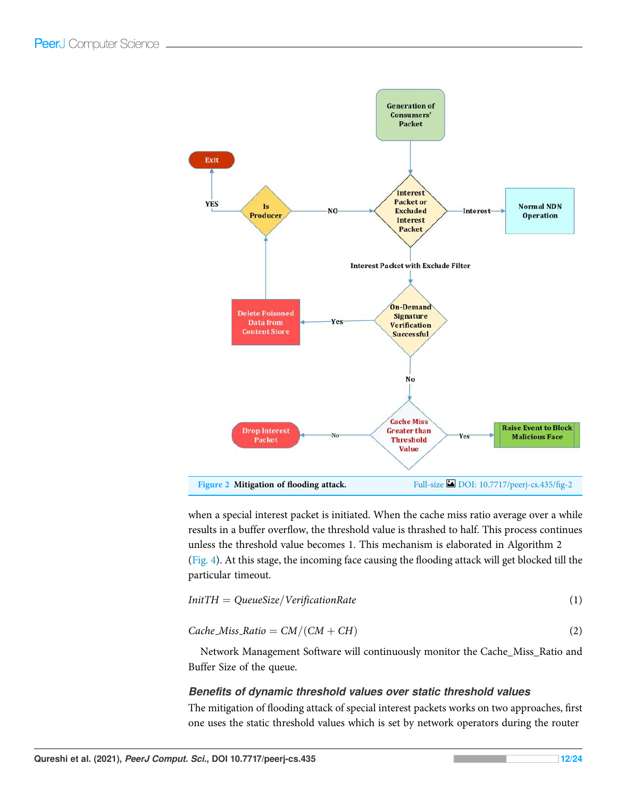

when a special interest packet is initiated. When the cache miss ratio average over a while results in a buffer overflow, the threshold value is thrashed to half. This process continues unless the threshold value becomes 1. This mechanism is elaborated in Algorithm 2 (Fig. 4). At this stage, the incoming face causing the flooding attack will get blocked till the particular timeout.

$$
InitTH = QueueSize/VerificationRate
$$
 (1)

 $Cache\_Miss_Ratio = CM/(CM + CH)$  (2)

Network Management Software will continuously monitor the Cache\_Miss\_Ratio and Buffer Size of the queue.

## *Benefits of dynamic threshold values over static threshold values*

The mitigation of flooding attack of special interest packets works on two approaches, first one uses the static threshold values which is set by network operators during the router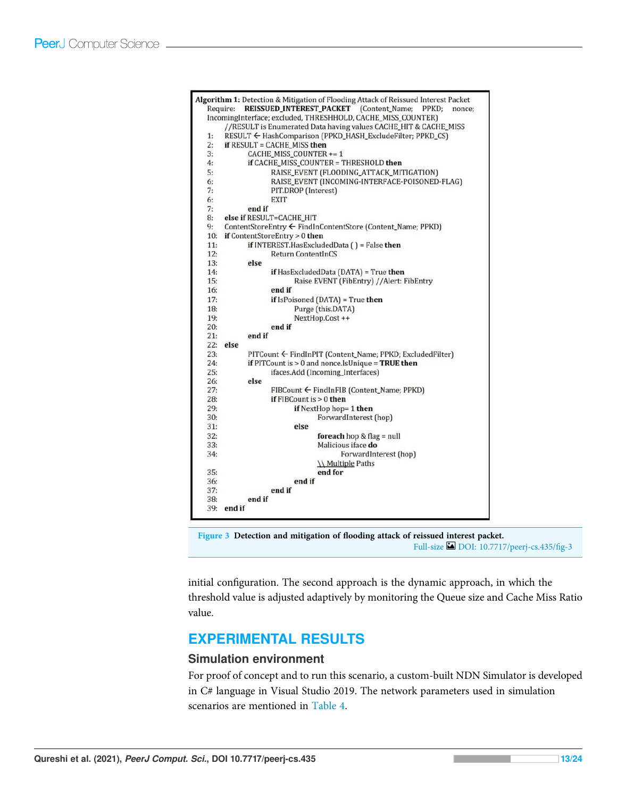| Algorithm 1: Detection & Mitigation of Flooding Attack of Reissued Interest Packet |  |
|------------------------------------------------------------------------------------|--|
| <b>REISSUED INTEREST PACKET</b> (Content Name;<br>Require:<br>PPKD:<br>nonce:      |  |
| IncomingInterface; excluded, THRESHHOLD, CACHE_MISS_COUNTER)                       |  |
| //RESULT is Enumerated Data having values CACHE_HIT & CACHE_MISS                   |  |
| RESULT ← HashComparison (PPKD_HASH_ExcludeFilter; PPKD_CS)<br>1:                   |  |
| if RESULT = CACHE MISS then<br>2:                                                  |  |
| 3:<br>CACHE MISS COUNTER += 1                                                      |  |
| 4:<br>if CACHE_MISS_COUNTER = THRESHOLD then                                       |  |
| 5:<br>RAISE EVENT (FLOODING ATTACK MITIGATION)                                     |  |
| RAISE_EVENT (INCOMING-INTERFACE-POISONED-FLAG)<br>6:                               |  |
| 7:<br>PIT.DROP (Interest)                                                          |  |
| 6:<br>EXIT                                                                         |  |
| 7:<br>end if                                                                       |  |
| else if RESULT=CACHE_HIT<br>8:                                                     |  |
| ContentStoreEntry ← FindInContentStore (Content_Name; PPKD)<br>9:                  |  |
| if ContentStoreEntry $> 0$ then<br>10:                                             |  |
| if INTEREST.HasExcludedData $( ) =$ False then<br>11:                              |  |
| 12:<br><b>Return ContentInCS</b>                                                   |  |
| 13:<br>else                                                                        |  |
| 14:<br>if HasExcludedData (DATA) = True then                                       |  |
| Raise EVENT (FibEntry) //Alert: FibEntry<br>15:                                    |  |
| end if<br>16:                                                                      |  |
| 17:<br>if $IsPoisoned$ (DATA) = True then                                          |  |
| Purge (this.DATA)<br>18:                                                           |  |
| 19:<br>NextHop.Cost ++                                                             |  |
| end if<br>20:                                                                      |  |
| end if<br>21:                                                                      |  |
| 22:<br>else                                                                        |  |
| 23:<br>PITCount ← FindInPIT (Content_Name; PPKD; ExcludedFilter)                   |  |
| if PITCount is $> 0$ and nonce. Is Unique = TRUE then<br>24:                       |  |
| 25:<br>ifaces.Add (Incoming_Interfaces)                                            |  |
| 26:<br>else                                                                        |  |
| 27:<br>FIBCount ← FindInFIB (Content_Name; PPKD)                                   |  |
| 28:<br>if $FIBCount$ is $>0$ then                                                  |  |
| if NextHop hop= 1 then<br>29:                                                      |  |
| ForwardInterest (hop)<br>30:                                                       |  |
| 31:<br>else                                                                        |  |
| 32:<br>foreach hop $&$ flag = null                                                 |  |
| Malicious iface do<br>33:                                                          |  |
| 34:<br>ForwardInterest (hop)                                                       |  |
| \\ Multiple Paths                                                                  |  |
| end for<br>35:                                                                     |  |
| end if<br>36:                                                                      |  |
| end if<br>37:                                                                      |  |
| end if<br>38:                                                                      |  |
| $39:$ end if                                                                       |  |

Figure 3 Detection and mitigation of flooding attack of reissued interest packet. Full-size DOI: 10.7717/peerj-cs.435/fig-3

initial configuration. The second approach is the dynamic approach, in which the threshold value is adjusted adaptively by monitoring the Queue size and Cache Miss Ratio value.

# EXPERIMENTAL RESULTS

## Simulation environment

For proof of concept and to run this scenario, a custom-built NDN Simulator is developed in C# language in Visual Studio 2019. The network parameters used in simulation scenarios are mentioned in Table 4.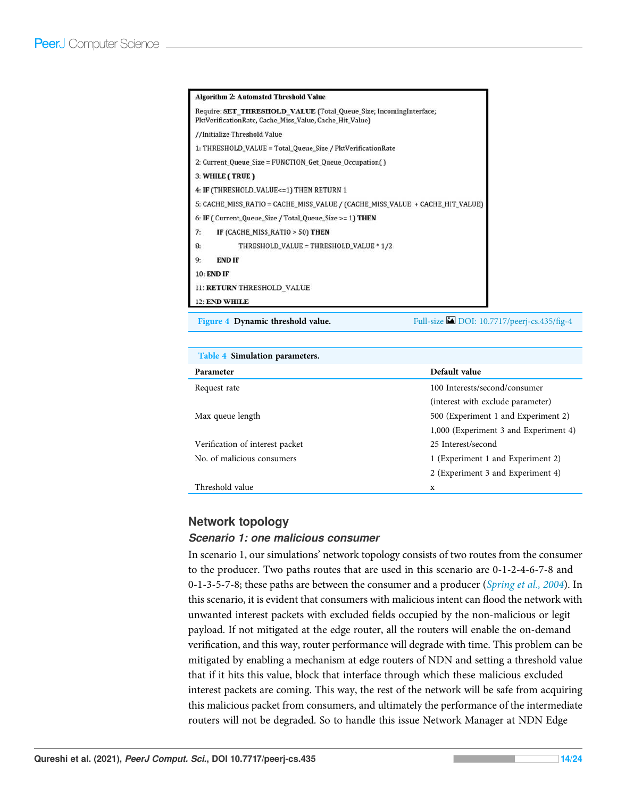|                                                                                                                               | <b>Algorithm 2: Automated Threshold Value</b>                                 |  |  |  |
|-------------------------------------------------------------------------------------------------------------------------------|-------------------------------------------------------------------------------|--|--|--|
| Require: SET THRESHOLD VALUE (Total_Queue_Size; IncomingInterface;<br>PktVerificationRate, Cache_Miss_Value, Cache_Hit_Value) |                                                                               |  |  |  |
|                                                                                                                               | //Initialize Threshold Value                                                  |  |  |  |
|                                                                                                                               | 1: THRESHOLD_VALUE = Total_Queue_Size / PktVerificationRate                   |  |  |  |
|                                                                                                                               | 2: Current_Queue_Size = FUNCTION_Get_Queue_Occupation()                       |  |  |  |
|                                                                                                                               | 3: WHILE (TRUE)                                                               |  |  |  |
|                                                                                                                               | 4: IF (THRESHOLD_VALUE<=1) THEN RETURN 1                                      |  |  |  |
|                                                                                                                               | 5: CACHE_MISS_RATIO = CACHE_MISS_VALUE / (CACHE_MISS_VALUE + CACHE_HIT_VALUE) |  |  |  |
|                                                                                                                               | 6: IF (Current_Queue_Size / Total_Queue_Size >= 1) THEN                       |  |  |  |
| 7:                                                                                                                            | IF (CACHE_MISS_RATIO > 50) THEN                                               |  |  |  |
| 8:                                                                                                                            | THRESHOLD_VALUE = THRESHOLD_VALUE * 1/2                                       |  |  |  |
| 9:                                                                                                                            | <b>END IF</b>                                                                 |  |  |  |
|                                                                                                                               | <b>10: END IF</b>                                                             |  |  |  |
|                                                                                                                               | 11: RETURN THRESHOLD VALUE                                                    |  |  |  |
|                                                                                                                               | 12: END WHILE                                                                 |  |  |  |

Figure 4 Dynamic threshold value. Full-size DOI: 10.7717/peerj-cs.435/fig-4

| Table 4 Simulation parameters.  |                                       |  |  |  |
|---------------------------------|---------------------------------------|--|--|--|
| Parameter                       | Default value                         |  |  |  |
| Request rate                    | 100 Interests/second/consumer         |  |  |  |
|                                 | (interest with exclude parameter)     |  |  |  |
| Max queue length                | 500 (Experiment 1 and Experiment 2)   |  |  |  |
|                                 | 1,000 (Experiment 3 and Experiment 4) |  |  |  |
| Verification of interest packet | 25 Interest/second                    |  |  |  |
| No. of malicious consumers      | 1 (Experiment 1 and Experiment 2)     |  |  |  |
|                                 | 2 (Experiment 3 and Experiment 4)     |  |  |  |
| Threshold value                 | X                                     |  |  |  |

## Network topology

#### *Scenario 1: one malicious consumer*

In scenario 1, our simulations' network topology consists of two routes from the consumer to the producer. Two paths routes that are used in this scenario are 0-1-2-4-6-7-8 and 0-1-3-5-7-8; these paths are between the consumer and a producer (Spring et al., 2004). In this scenario, it is evident that consumers with malicious intent can flood the network with unwanted interest packets with excluded fields occupied by the non-malicious or legit payload. If not mitigated at the edge router, all the routers will enable the on-demand verification, and this way, router performance will degrade with time. This problem can be mitigated by enabling a mechanism at edge routers of NDN and setting a threshold value that if it hits this value, block that interface through which these malicious excluded interest packets are coming. This way, the rest of the network will be safe from acquiring this malicious packet from consumers, and ultimately the performance of the intermediate routers will not be degraded. So to handle this issue Network Manager at NDN Edge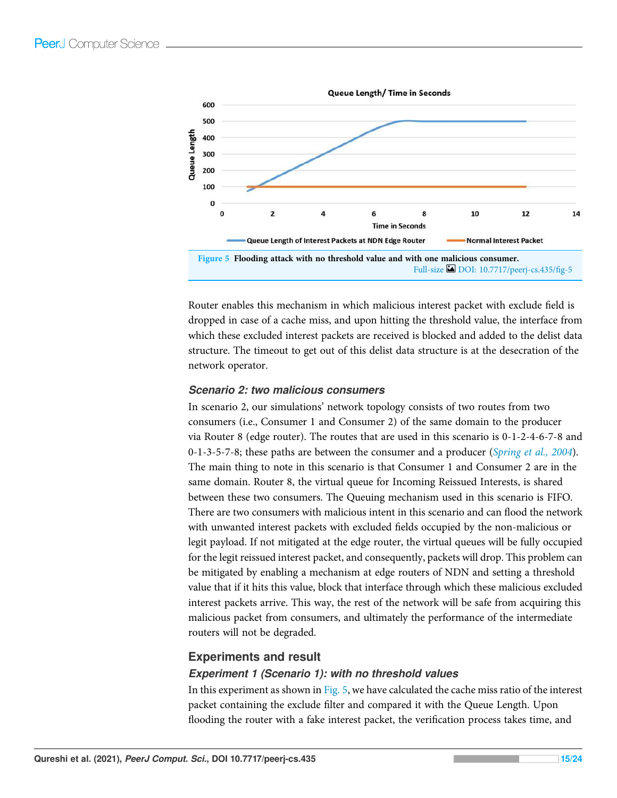

Router enables this mechanism in which malicious interest packet with exclude field is dropped in case of a cache miss, and upon hitting the threshold value, the interface from which these excluded interest packets are received is blocked and added to the delist data structure. The timeout to get out of this delist data structure is at the desecration of the network operator.

### *Scenario 2: two malicious consumers*

In scenario 2, our simulations' network topology consists of two routes from two consumers (i.e., Consumer 1 and Consumer 2) of the same domain to the producer via Router 8 (edge router). The routes that are used in this scenario is 0-1-2-4-6-7-8 and 0-1-3-5-7-8; these paths are between the consumer and a producer (Spring et al., 2004). The main thing to note in this scenario is that Consumer 1 and Consumer 2 are in the same domain. Router 8, the virtual queue for Incoming Reissued Interests, is shared between these two consumers. The Queuing mechanism used in this scenario is FIFO. There are two consumers with malicious intent in this scenario and can flood the network with unwanted interest packets with excluded fields occupied by the non-malicious or legit payload. If not mitigated at the edge router, the virtual queues will be fully occupied for the legit reissued interest packet, and consequently, packets will drop. This problem can be mitigated by enabling a mechanism at edge routers of NDN and setting a threshold value that if it hits this value, block that interface through which these malicious excluded interest packets arrive. This way, the rest of the network will be safe from acquiring this malicious packet from consumers, and ultimately the performance of the intermediate routers will not be degraded.

## Experiments and result

## *Experiment 1 (Scenario 1): with no threshold values*

In this experiment as shown in Fig. 5, we have calculated the cache miss ratio of the interest packet containing the exclude filter and compared it with the Queue Length. Upon flooding the router with a fake interest packet, the verification process takes time, and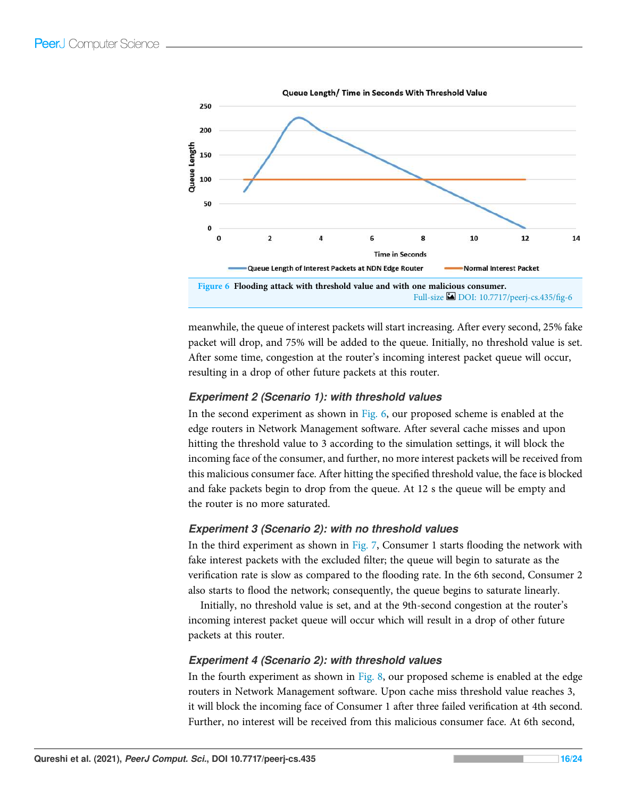

meanwhile, the queue of interest packets will start increasing. After every second, 25% fake packet will drop, and 75% will be added to the queue. Initially, no threshold value is set. After some time, congestion at the router's incoming interest packet queue will occur, resulting in a drop of other future packets at this router.

## *Experiment 2 (Scenario 1): with threshold values*

In the second experiment as shown in Fig. 6, our proposed scheme is enabled at the edge routers in Network Management software. After several cache misses and upon hitting the threshold value to 3 according to the simulation settings, it will block the incoming face of the consumer, and further, no more interest packets will be received from this malicious consumer face. After hitting the specified threshold value, the face is blocked and fake packets begin to drop from the queue. At 12 s the queue will be empty and the router is no more saturated.

## *Experiment 3 (Scenario 2): with no threshold values*

In the third experiment as shown in Fig. 7, Consumer 1 starts flooding the network with fake interest packets with the excluded filter; the queue will begin to saturate as the verification rate is slow as compared to the flooding rate. In the 6th second, Consumer 2 also starts to flood the network; consequently, the queue begins to saturate linearly.

Initially, no threshold value is set, and at the 9th-second congestion at the router's incoming interest packet queue will occur which will result in a drop of other future packets at this router.

## *Experiment 4 (Scenario 2): with threshold values*

In the fourth experiment as shown in Fig. 8, our proposed scheme is enabled at the edge routers in Network Management software. Upon cache miss threshold value reaches 3, it will block the incoming face of Consumer 1 after three failed verification at 4th second. Further, no interest will be received from this malicious consumer face. At 6th second,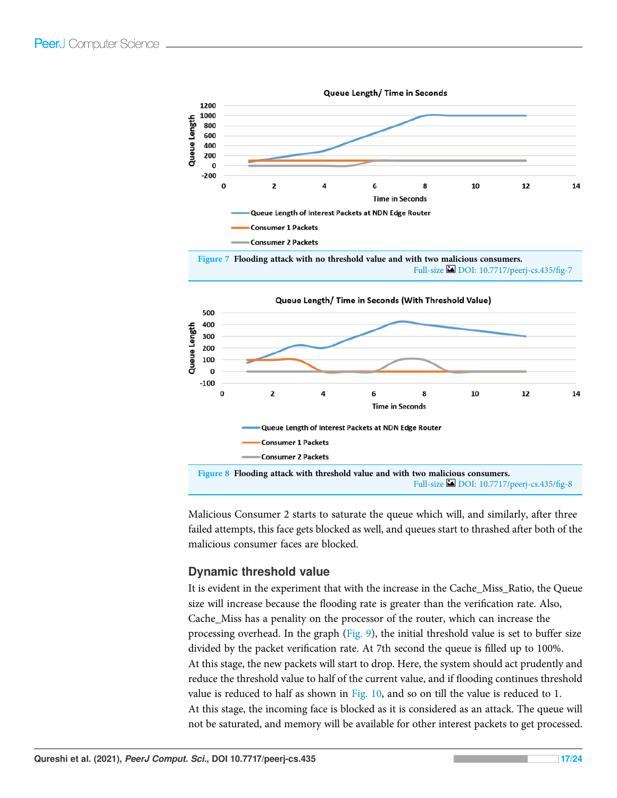

Malicious Consumer 2 starts to saturate the queue which will, and similarly, after three failed attempts, this face gets blocked as well, and queues start to thrashed after both of the malicious consumer faces are blocked.

## Dynamic threshold value

It is evident in the experiment that with the increase in the Cache\_Miss\_Ratio, the Queue size will increase because the flooding rate is greater than the verification rate. Also, Cache\_Miss has a penality on the processor of the router, which can increase the processing overhead. In the graph (Fig. 9), the initial threshold value is set to buffer size divided by the packet verification rate. At 7th second the queue is filled up to 100%. At this stage, the new packets will start to drop. Here, the system should act prudently and reduce the threshold value to half of the current value, and if flooding continues threshold value is reduced to half as shown in Fig. 10, and so on till the value is reduced to 1. At this stage, the incoming face is blocked as it is considered as an attack. The queue will not be saturated, and memory will be available for other interest packets to get processed.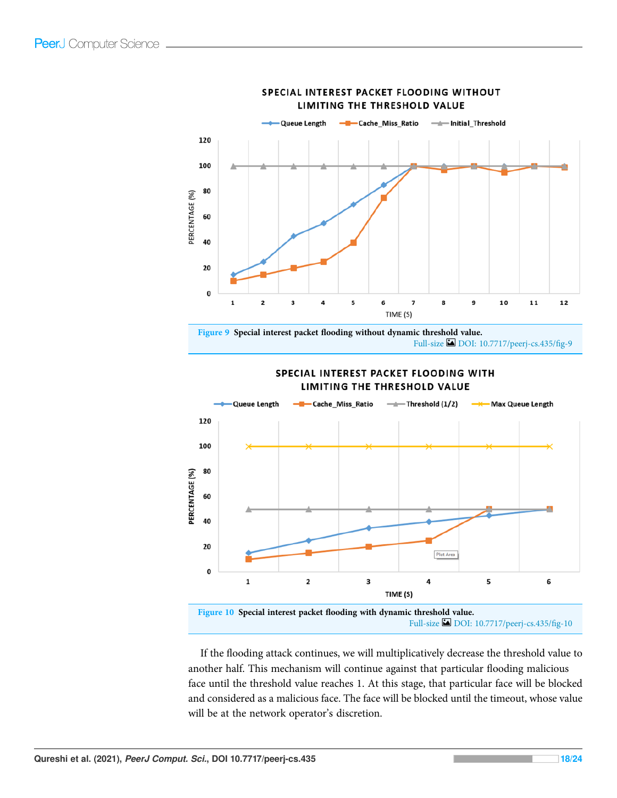

#### SPECIAL INTEREST PACKET FLOODING WITHOUT LIMITING THE THRESHOLD VALUE

Figure 9 Special interest packet flooding without dynamic threshold value. Full-size DOI: 10.7717/peerj-cs.435/fig-9



#### SPECIAL INTEREST PACKET FLOODING WITH **LIMITING THE THRESHOLD VALUE**

Full-size DOI: 10.7717/peerj-cs.435/fig-10

If the flooding attack continues, we will multiplicatively decrease the threshold value to another half. This mechanism will continue against that particular flooding malicious face until the threshold value reaches 1. At this stage, that particular face will be blocked and considered as a malicious face. The face will be blocked until the timeout, whose value will be at the network operator's discretion.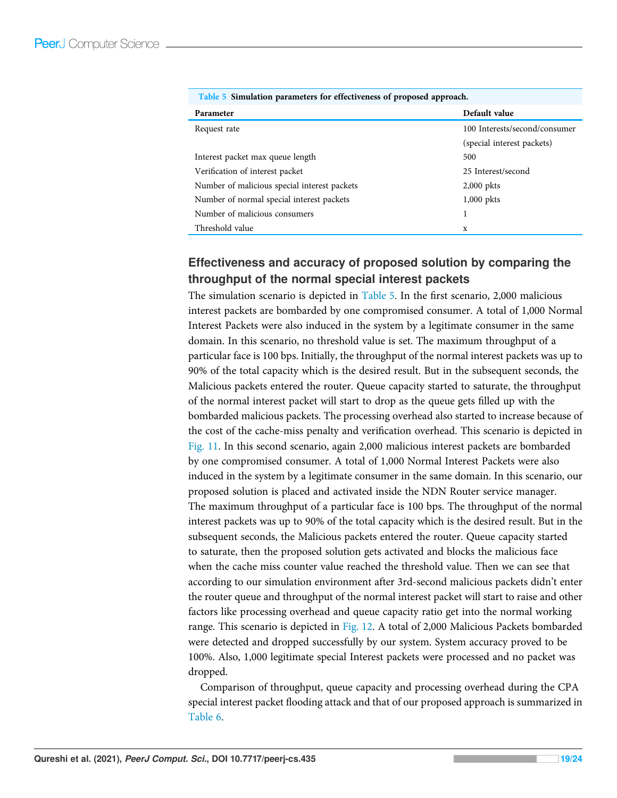| <u>rable</u> 3 billimation parameters for checuveness of proposed approach. |                               |  |  |  |
|-----------------------------------------------------------------------------|-------------------------------|--|--|--|
| Parameter                                                                   | Default value                 |  |  |  |
| Request rate                                                                | 100 Interests/second/consumer |  |  |  |
|                                                                             | (special interest packets)    |  |  |  |
| Interest packet max queue length                                            | 500                           |  |  |  |
| Verification of interest packet                                             | 25 Interest/second            |  |  |  |
| Number of malicious special interest packets                                | $2,000$ pkts                  |  |  |  |
| Number of normal special interest packets                                   | $1,000$ pkts                  |  |  |  |
| Number of malicious consumers                                               |                               |  |  |  |
| Threshold value                                                             | x                             |  |  |  |

|  | Table 5 Simulation parameters for effectiveness of proposed approach. |  |  |
|--|-----------------------------------------------------------------------|--|--|
|  |                                                                       |  |  |

# Effectiveness and accuracy of proposed solution by comparing the throughput of the normal special interest packets

The simulation scenario is depicted in Table 5. In the first scenario, 2,000 malicious interest packets are bombarded by one compromised consumer. A total of 1,000 Normal Interest Packets were also induced in the system by a legitimate consumer in the same domain. In this scenario, no threshold value is set. The maximum throughput of a particular face is 100 bps. Initially, the throughput of the normal interest packets was up to 90% of the total capacity which is the desired result. But in the subsequent seconds, the Malicious packets entered the router. Queue capacity started to saturate, the throughput of the normal interest packet will start to drop as the queue gets filled up with the bombarded malicious packets. The processing overhead also started to increase because of the cost of the cache-miss penalty and verification overhead. This scenario is depicted in Fig. 11. In this second scenario, again 2,000 malicious interest packets are bombarded by one compromised consumer. A total of 1,000 Normal Interest Packets were also induced in the system by a legitimate consumer in the same domain. In this scenario, our proposed solution is placed and activated inside the NDN Router service manager. The maximum throughput of a particular face is 100 bps. The throughput of the normal interest packets was up to 90% of the total capacity which is the desired result. But in the subsequent seconds, the Malicious packets entered the router. Queue capacity started to saturate, then the proposed solution gets activated and blocks the malicious face when the cache miss counter value reached the threshold value. Then we can see that according to our simulation environment after 3rd-second malicious packets didn't enter the router queue and throughput of the normal interest packet will start to raise and other factors like processing overhead and queue capacity ratio get into the normal working range. This scenario is depicted in Fig. 12. A total of 2,000 Malicious Packets bombarded were detected and dropped successfully by our system. System accuracy proved to be 100%. Also, 1,000 legitimate special Interest packets were processed and no packet was dropped.

Comparison of throughput, queue capacity and processing overhead during the CPA special interest packet flooding attack and that of our proposed approach is summarized in Table 6.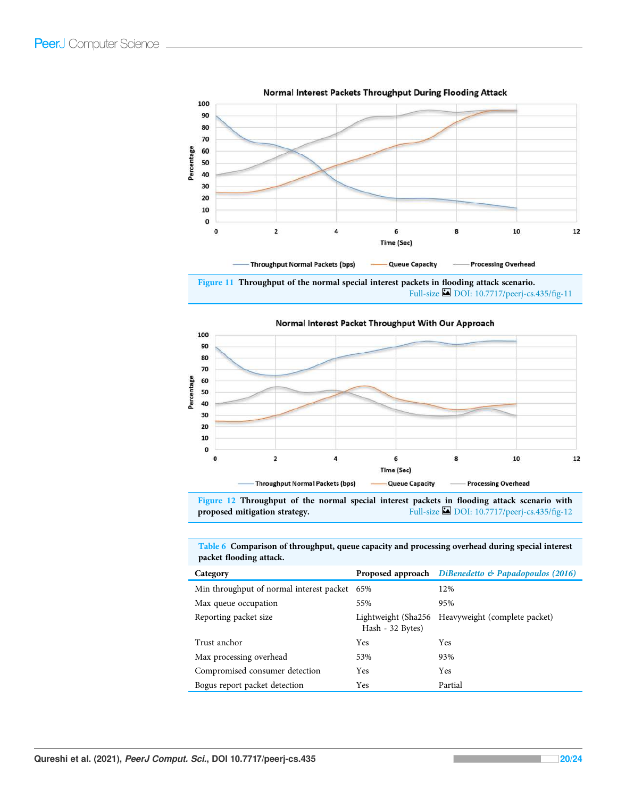

Normal Interest Packets Throughput During Flooding Attack

Figure 11 Throughput of the normal special interest packets in flooding attack scenario. Full-size DOI: 10.7717/peerj-cs.435/fig-11



Normal Interest Packet Throughput With Our Approach

Figure 12 Throughput of the normal special interest packets in flooding attack scenario with proposed mitigation strategy. Full-size DOI: 10.7717/peerj-cs.435/fig-12

Table 6 Comparison of throughput, queue capacity and processing overhead during special interest packet flooding attack.

| Category                                     |                  | Proposed approach DiBenedetto & Papadopoulos (2016) |
|----------------------------------------------|------------------|-----------------------------------------------------|
| Min throughput of normal interest packet 65% |                  | 12%                                                 |
| Max queue occupation                         | 55%              | 95%                                                 |
| Reporting packet size                        | Hash - 32 Bytes) | Lightweight (Sha256 Heavyweight (complete packet)   |
| Trust anchor                                 | Yes              | <b>Yes</b>                                          |
| Max processing overhead                      | 53%              | 93%                                                 |
| Compromised consumer detection               | Yes              | Yes                                                 |
| Bogus report packet detection                | Yes              | Partial                                             |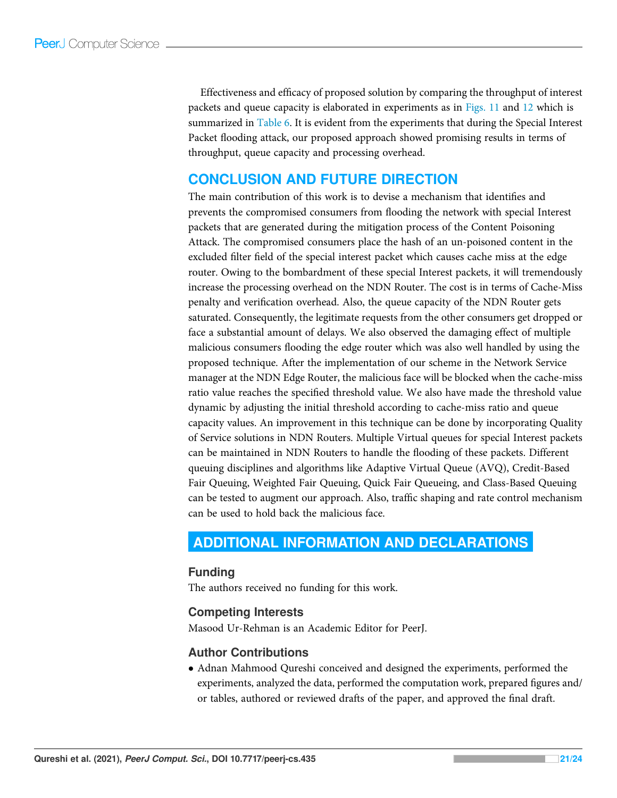Effectiveness and efficacy of proposed solution by comparing the throughput of interest packets and queue capacity is elaborated in experiments as in Figs. 11 and 12 which is summarized in Table 6. It is evident from the experiments that during the Special Interest Packet flooding attack, our proposed approach showed promising results in terms of throughput, queue capacity and processing overhead.

# CONCLUSION AND FUTURE DIRECTION

The main contribution of this work is to devise a mechanism that identifies and prevents the compromised consumers from flooding the network with special Interest packets that are generated during the mitigation process of the Content Poisoning Attack. The compromised consumers place the hash of an un-poisoned content in the excluded filter field of the special interest packet which causes cache miss at the edge router. Owing to the bombardment of these special Interest packets, it will tremendously increase the processing overhead on the NDN Router. The cost is in terms of Cache-Miss penalty and verification overhead. Also, the queue capacity of the NDN Router gets saturated. Consequently, the legitimate requests from the other consumers get dropped or face a substantial amount of delays. We also observed the damaging effect of multiple malicious consumers flooding the edge router which was also well handled by using the proposed technique. After the implementation of our scheme in the Network Service manager at the NDN Edge Router, the malicious face will be blocked when the cache-miss ratio value reaches the specified threshold value. We also have made the threshold value dynamic by adjusting the initial threshold according to cache-miss ratio and queue capacity values. An improvement in this technique can be done by incorporating Quality of Service solutions in NDN Routers. Multiple Virtual queues for special Interest packets can be maintained in NDN Routers to handle the flooding of these packets. Different queuing disciplines and algorithms like Adaptive Virtual Queue (AVQ), Credit-Based Fair Queuing, Weighted Fair Queuing, Quick Fair Queueing, and Class-Based Queuing can be tested to augment our approach. Also, traffic shaping and rate control mechanism can be used to hold back the malicious face.

# ADDITIONAL INFORMATION AND DECLARATIONS

## Funding

The authors received no funding for this work.

## Competing Interests

Masood Ur-Rehman is an Academic Editor for PeerJ.

## Author Contributions

 Adnan Mahmood Qureshi conceived and designed the experiments, performed the experiments, analyzed the data, performed the computation work, prepared figures and/ or tables, authored or reviewed drafts of the paper, and approved the final draft.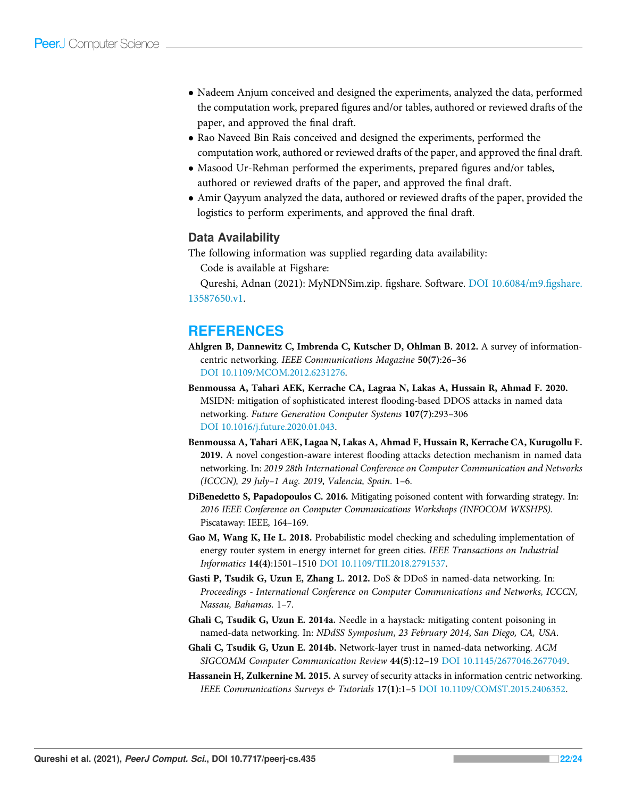- Nadeem Anjum conceived and designed the experiments, analyzed the data, performed the computation work, prepared figures and/or tables, authored or reviewed drafts of the paper, and approved the final draft.
- Rao Naveed Bin Rais conceived and designed the experiments, performed the computation work, authored or reviewed drafts of the paper, and approved the final draft.
- Masood Ur-Rehman performed the experiments, prepared figures and/or tables, authored or reviewed drafts of the paper, and approved the final draft.
- Amir Qayyum analyzed the data, authored or reviewed drafts of the paper, provided the logistics to perform experiments, and approved the final draft.

# Data Availability

The following information was supplied regarding data availability:

Code is available at Figshare:

Qureshi, Adnan (2021): MyNDNSim.zip. figshare. Software. DOI 10.6084/m9.figshare. 13587650.v1.

# **REFERENCES**

- Ahlgren B, Dannewitz C, Imbrenda C, Kutscher D, Ohlman B. 2012. A survey of informationcentric networking. IEEE Communications Magazine 50(7):26–36 DOI 10.1109/MCOM.2012.6231276.
- Benmoussa A, Tahari AEK, Kerrache CA, Lagraa N, Lakas A, Hussain R, Ahmad F. 2020. MSIDN: mitigation of sophisticated interest flooding-based DDOS attacks in named data networking. Future Generation Computer Systems 107(7):293–306 DOI 10.1016/j.future.2020.01.043.
- Benmoussa A, Tahari AEK, Lagaa N, Lakas A, Ahmad F, Hussain R, Kerrache CA, Kurugollu F. 2019. A novel congestion-aware interest flooding attacks detection mechanism in named data networking. In: 2019 28th International Conference on Computer Communication and Networks (ICCCN), 29 July–1 Aug. 2019, Valencia, Spain. 1–6.
- DiBenedetto S, Papadopoulos C. 2016. Mitigating poisoned content with forwarding strategy. In: 2016 IEEE Conference on Computer Communications Workshops (INFOCOM WKSHPS). Piscataway: IEEE, 164–169.
- Gao M, Wang K, He L. 2018. Probabilistic model checking and scheduling implementation of energy router system in energy internet for green cities. IEEE Transactions on Industrial Informatics 14(4):1501–1510 DOI 10.1109/TII.2018.2791537.
- Gasti P, Tsudik G, Uzun E, Zhang L. 2012. DoS & DDoS in named-data networking. In: Proceedings - International Conference on Computer Communications and Networks, ICCCN, Nassau, Bahamas. 1–7.
- Ghali C, Tsudik G, Uzun E. 2014a. Needle in a haystack: mitigating content poisoning in named-data networking. In: NDdSS Symposium, 23 February 2014, San Diego, CA, USA.
- Ghali C, Tsudik G, Uzun E. 2014b. Network-layer trust in named-data networking. ACM SIGCOMM Computer Communication Review 44(5):12–19 DOI 10.1145/2677046.2677049.
- Hassanein H, Zulkernine M. 2015. A survey of security attacks in information centric networking. IEEE Communications Surveys & Tutorials 17(1):1–5 DOI 10.1109/COMST.2015.2406352.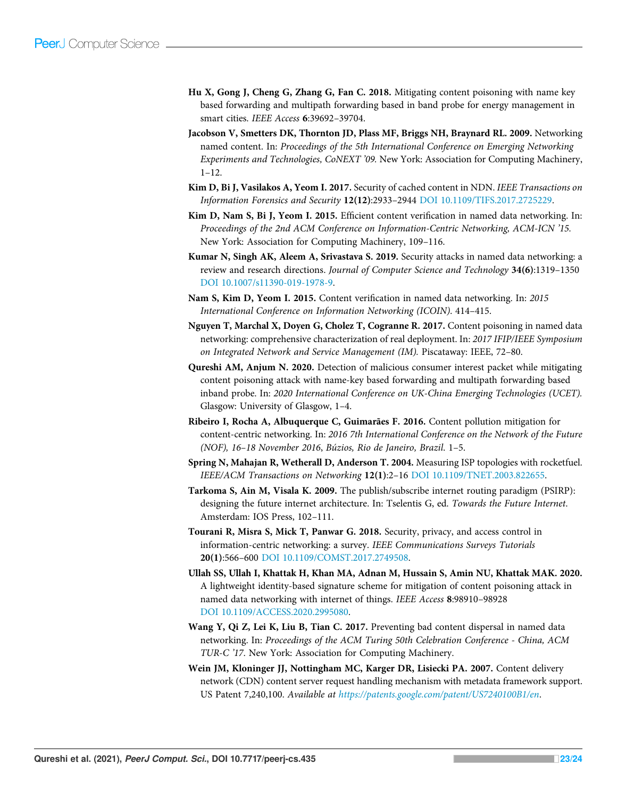- Hu X, Gong J, Cheng G, Zhang G, Fan C. 2018. Mitigating content poisoning with name key based forwarding and multipath forwarding based in band probe for energy management in smart cities. IEEE Access 6:39692–39704.
- Jacobson V, Smetters DK, Thornton JD, Plass MF, Briggs NH, Braynard RL. 2009. Networking named content. In: Proceedings of the 5th International Conference on Emerging Networking Experiments and Technologies, CoNEXT '09. New York: Association for Computing Machinery, 1–12.
- Kim D, Bi J, Vasilakos A, Yeom I. 2017. Security of cached content in NDN. IEEE Transactions on Information Forensics and Security 12(12):2933–2944 DOI 10.1109/TIFS.2017.2725229.
- Kim D, Nam S, Bi J, Yeom I. 2015. Efficient content verification in named data networking. In: Proceedings of the 2nd ACM Conference on Information-Centric Networking, ACM-ICN '15. New York: Association for Computing Machinery, 109–116.
- Kumar N, Singh AK, Aleem A, Srivastava S. 2019. Security attacks in named data networking: a review and research directions. Journal of Computer Science and Technology 34(6):1319–1350 DOI 10.1007/s11390-019-1978-9.
- Nam S, Kim D, Yeom I. 2015. Content verification in named data networking. In: 2015 International Conference on Information Networking (ICOIN). 414–415.
- Nguyen T, Marchal X, Doyen G, Cholez T, Cogranne R. 2017. Content poisoning in named data networking: comprehensive characterization of real deployment. In: 2017 IFIP/IEEE Symposium on Integrated Network and Service Management (IM). Piscataway: IEEE, 72–80.
- Qureshi AM, Anjum N. 2020. Detection of malicious consumer interest packet while mitigating content poisoning attack with name-key based forwarding and multipath forwarding based inband probe. In: 2020 International Conference on UK-China Emerging Technologies (UCET). Glasgow: University of Glasgow, 1–4.
- Ribeiro I, Rocha A, Albuquerque C, Guimarães F. 2016. Content pollution mitigation for content-centric networking. In: 2016 7th International Conference on the Network of the Future (NOF), 16–18 November 2016, Búzios, Rio de Janeiro, Brazil. 1–5.
- Spring N, Mahajan R, Wetherall D, Anderson T. 2004. Measuring ISP topologies with rocketfuel. IEEE/ACM Transactions on Networking 12(1):2–16 DOI 10.1109/TNET.2003.822655.
- Tarkoma S, Ain M, Visala K. 2009. The publish/subscribe internet routing paradigm (PSIRP): designing the future internet architecture. In: Tselentis G, ed. Towards the Future Internet. Amsterdam: IOS Press, 102–111.
- Tourani R, Misra S, Mick T, Panwar G. 2018. Security, privacy, and access control in information-centric networking: a survey. IEEE Communications Surveys Tutorials 20(1):566–600 DOI 10.1109/COMST.2017.2749508.
- Ullah SS, Ullah I, Khattak H, Khan MA, Adnan M, Hussain S, Amin NU, Khattak MAK. 2020. A lightweight identity-based signature scheme for mitigation of content poisoning attack in named data networking with internet of things. IEEE Access 8:98910–98928 DOI 10.1109/ACCESS.2020.2995080.
- Wang Y, Qi Z, Lei K, Liu B, Tian C. 2017. Preventing bad content dispersal in named data networking. In: Proceedings of the ACM Turing 50th Celebration Conference - China, ACM TUR-C '17. New York: Association for Computing Machinery.
- Wein JM, Kloninger JJ, Nottingham MC, Karger DR, Lisiecki PA. 2007. Content delivery network (CDN) content server request handling mechanism with metadata framework support. US Patent 7,240,100. Available at https://patents.google.com/patent/US7240100B1/en.